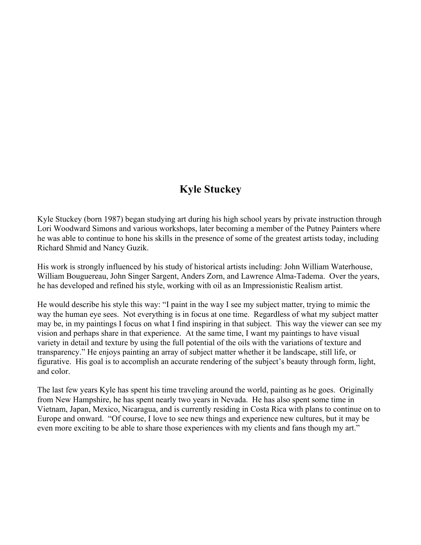## **Kyle Stuckey**

Kyle Stuckey (born 1987) began studying art during his high school years by private instruction through Lori Woodward Simons and various workshops, later becoming a member of the Putney Painters where he was able to continue to hone his skills in the presence of some of the greatest artists today, including Richard Shmid and Nancy Guzik.

His work is strongly influenced by his study of historical artists including: John William Waterhouse, William Bouguereau, John Singer Sargent, Anders Zorn, and Lawrence Alma-Tadema. Over the years, he has developed and refined his style, working with oil as an Impressionistic Realism artist.

He would describe his style this way: "I paint in the way I see my subject matter, trying to mimic the way the human eye sees. Not everything is in focus at one time. Regardless of what my subject matter may be, in my paintings I focus on what I find inspiring in that subject. This way the viewer can see my vision and perhaps share in that experience. At the same time, I want my paintings to have visual variety in detail and texture by using the full potential of the oils with the variations of texture and transparency." He enjoys painting an array of subject matter whether it be landscape, still life, or figurative. His goal is to accomplish an accurate rendering of the subject's beauty through form, light, and color.

The last few years Kyle has spent his time traveling around the world, painting as he goes. Originally from New Hampshire, he has spent nearly two years in Nevada. He has also spent some time in Vietnam, Japan, Mexico, Nicaragua, and is currently residing in Costa Rica with plans to continue on to Europe and onward. "Of course, I love to see new things and experience new cultures, but it may be even more exciting to be able to share those experiences with my clients and fans though my art."